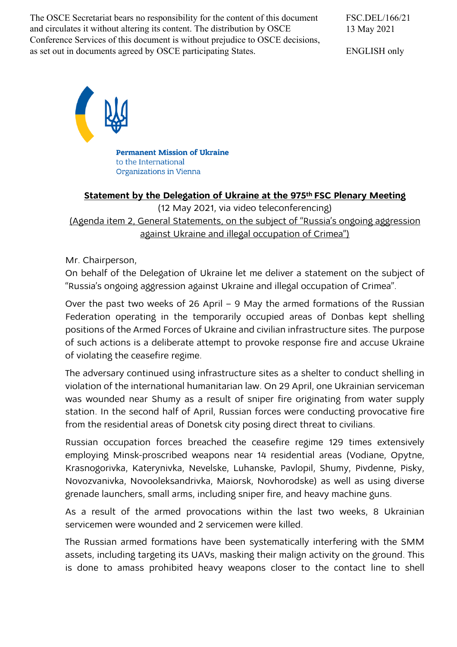The OSCE Secretariat bears no responsibility for the content of this document and circulates it without altering its content. The distribution by OSCE Conference Services of this document is without prejudice to OSCE decisions, as set out in documents agreed by OSCE participating States.

FSC.DEL/166/21 13 May 2021

ENGLISH only



**Permanent Mission of Ukraine** to the International Organizations in Vienna

## **Statement by the Delegation of Ukraine at the 975th FSC Plenary Meeting**

(12 May 2021, via video teleconferencing) (Agenda item 2, General Statements, on the subject of "Russia's ongoing aggression against Ukraine and illegal occupation of Crimea")

Mr. Chairperson,

On behalf of the Delegation of Ukraine let me deliver a statement on the subject of "Russia's ongoing aggression against Ukraine and illegal occupation of Crimea".

Over the past two weeks of 26 April – 9 May the armed formations of the Russian Federation operating in the temporarily occupied areas of Donbas kept shelling positions of the Armed Forces of Ukraine and civilian infrastructure sites. The purpose of such actions is a deliberate attempt to provoke response fire and accuse Ukraine of violating the ceasefire regime.

The adversary continued using infrastructure sites as a shelter to conduct shelling in violation of the international humanitarian law. On 29 April, one Ukrainian serviceman was wounded near Shumy as a result of sniper fire originating from water supply station. In the second half of April, Russian forces were conducting provocative fire from the residential areas of Donetsk city posing direct threat to civilians.

Russian occupation forces breached the ceasefire regime 129 times extensively employing Minsk-proscribed weapons near 14 residential areas (Vodiane, Opytne, Krasnogorivka, Katerynivka, Nevelske, Luhanske, Pavlopil, Shumy, Pivdenne, Pisky, Novozvanivka, Novooleksandrivka, Maiorsk, Novhorodske) as well as using diverse grenade launchers, small arms, including sniper fire, and heavy machine guns.

As a result of the armed provocations within the last two weeks, 8 Ukrainian servicemen were wounded and 2 servicemen were killed.

The Russian armed formations have been systematically interfering with the SMM assets, including targeting its UAVs, masking their malign activity on the ground. This is done to amass prohibited heavy weapons closer to the contact line to shell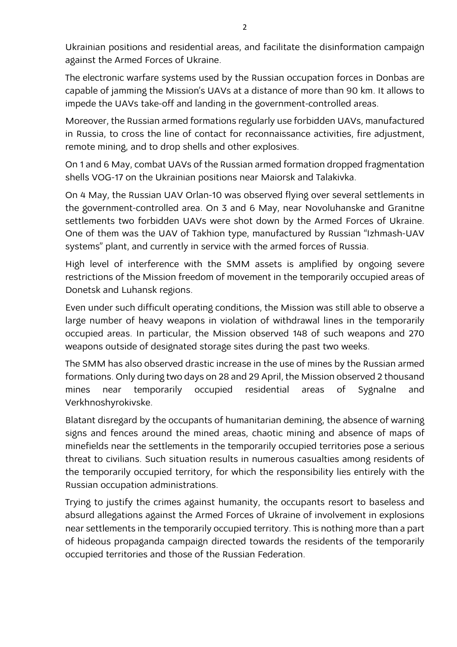Ukrainian positions and residential areas, and facilitate the disinformation campaign against the Armed Forces of Ukraine.

The electronic warfare systems used by the Russian occupation forces in Donbas are capable of jamming the Mission's UAVs at a distance of more than 90 km. It allows to impede the UAVs take-off and landing in the government-controlled areas.

Moreover, the Russian armed formations regularly use forbidden UAVs, manufactured in Russia, to cross the line of contact for reconnaissance activities, fire adjustment, remote mining, and to drop shells and other explosives.

On 1 and 6 May, combat UAVs of the Russian armed formation dropped fragmentation shells VOG-17 on the Ukrainian positions near Maiorsk and Talakivka.

On 4 May, the Russian UAV Orlan-10 was observed flying over several settlements in the government-controlled area. On 3 and 6 May, near Novoluhanske and Granitne settlements two forbidden UAVs were shot down by the Armed Forces of Ukraine. One of them was the UAV of Takhion type, manufactured by Russian "Izhmash-UAV systems" plant, and currently in service with the armed forces of Russia.

High level of interference with the SMM assets is amplified by ongoing severe restrictions of the Mission freedom of movement in the temporarily occupied areas of Donetsk and Luhansk regions.

Even under such difficult operating conditions, the Mission was still able to observe a large number of heavy weapons in violation of withdrawal lines in the temporarily occupied areas. In particular, the Mission observed 148 of such weapons and 270 weapons outside of designated storage sites during the past two weeks.

The SMM has also observed drastic increase in the use of mines by the Russian armed formations. Only during two days on 28 and 29 April, the Mission observed 2 thousand mines near temporarily occupied residential areas of Sygnalne and Verkhnoshyrokivske.

Blatant disregard by the occupants of humanitarian demining, the absence of warning signs and fences around the mined areas, chaotic mining and absence of maps of minefields near the settlements in the temporarily occupied territories pose a serious threat to civilians. Such situation results in numerous casualties among residents of the temporarily occupied territory, for which the responsibility lies entirely with the Russian occupation administrations.

Trying to justify the crimes against humanity, the occupants resort to baseless and absurd allegations against the Armed Forces of Ukraine of involvement in explosions near settlements in the temporarily occupied territory. This is nothing more than a part of hideous propaganda campaign directed towards the residents of the temporarily occupied territories and those of the Russian Federation.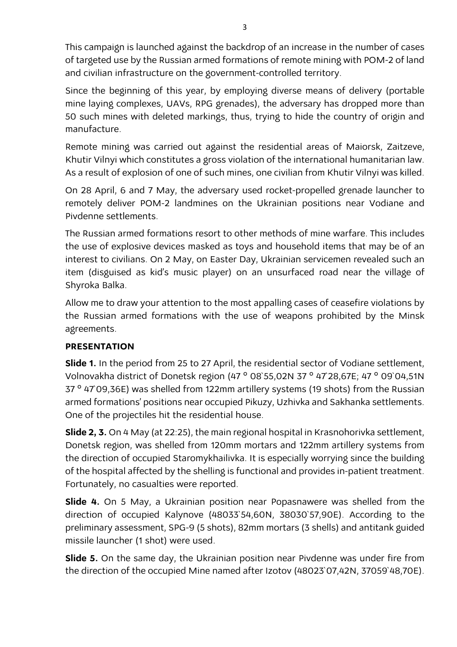This campaign is launched against the backdrop of an increase in the number of cases of targeted use by the Russian armed formations of remote mining with POM-2 of land and civilian infrastructure on the government-controlled territory.

Since the beginning of this year, by employing diverse means of delivery (portable mine laying complexes, UAVs, RPG grenades), the adversary has dropped more than 50 such mines with deleted markings, thus, trying to hide the country of origin and manufacture.

Remote mining was carried out against the residential areas of Maiorsk, Zaitzeve, Khutir Vilnyi which constitutes a gross violation of the international humanitarian law. As a result of explosion of one of such mines, one civilian from Khutir Vilnyi was killed.

On 28 April, 6 and 7 May, the adversary used rocket-propelled grenade launcher to remotely deliver POM-2 landmines on the Ukrainian positions near Vodiane and Pivdenne settlements.

The Russian armed formations resort to other methods of mine warfare. This includes the use of explosive devices masked as toys and household items that may be of an interest to civilians. On 2 May, on Easter Day, Ukrainian servicemen revealed such an item (disguised as kid's music player) on an unsurfaced road near the village of Shyroka Balka.

Allow me to draw your attention to the most appalling cases of ceasefire violations by the Russian armed formations with the use of weapons prohibited by the Minsk agreements.

## **PRESENTATION**

**Slide 1.** In the period from 25 to 27 April, the residential sector of Vodiane settlement, Volnovakha district of Donetsk region (47 ° 08`55,02N 37 ° 47`28,67E; 47 ° 09`04,51N 37 ° 47`09,36E) was shelled from 122mm artillery systems (19 shots) from the Russian armed formations' positions near occupied Pikuzy, Uzhivka and Sakhanka settlements. One of the projectiles hit the residential house.

**Slide 2, 3.** On 4 May (at 22:25), the main regional hospital in Krasnohorivka settlement, Donetsk region, was shelled from 120mm mortars and 122mm artillery systems from the direction of occupied Staromykhailivka. It is especially worrying since the building of the hospital affected by the shelling is functional and provides in-patient treatment. Fortunately, no casualties were reported.

**Slide 4.** On 5 May, a Ukrainian position near Popasnawere was shelled from the direction of occupied Kalynovе (48033`54,60N, 38030`57,90E). According to the preliminary assessment, SPG-9 (5 shots), 82mm mortars (3 shells) and antitank guided missile launcher (1 shot) were used.

**Slide 5.** On the same day, the Ukrainian position near Pivdenne was under fire from the direction of the occupied Mine named after Izotov (48023`07,42N, 37059`48,70E).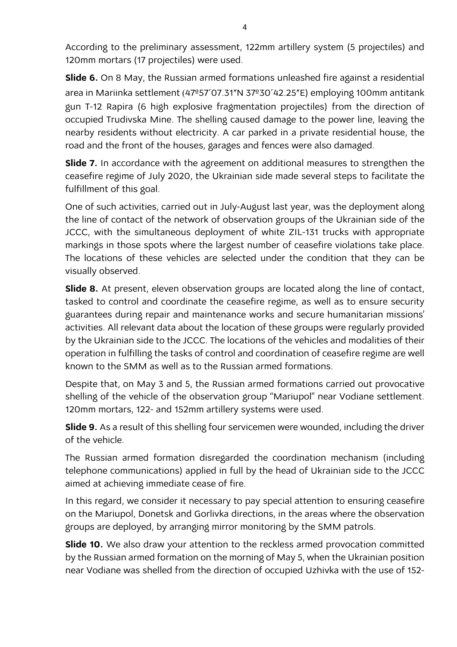According to the preliminary assessment, 122mm artillery system (5 projectiles) and 120mm mortars (17 projectiles) were used.

**Slide 6.** On 8 May, the Russian armed formations unleashed fire against a residential area in Mariinka settlement (47º57'07.31"N 37º30'42.25"E) employing 100mm antitank gun T-12 Rapira (6 high explosive fragmentation projectiles) from the direction of occupied Trudivska Mine. The shelling caused damage to the power line, leaving the nearby residents without electricity. A car parked in a private residential house, the road and the front of the houses, garages and fences were also damaged.

**Slide 7.** In accordance with the agreement on additional measures to strengthen the ceasefire regime of July 2020, the Ukrainian side made several steps to facilitate the fulfillment of this goal.

One of such activities, carried out in July-August last year, was the deployment along the line of contact of the network of observation groups of the Ukrainian side of the JCCC, with the simultaneous deployment of white ZIL-131 trucks with appropriate markings in those spots where the largest number of ceasefire violations take place. The locations of these vehicles are selected under the condition that they can be visually observed.

**Slide 8.** At present, eleven observation groups are located along the line of contact, tasked to control and coordinate the ceasefire regime, as well as to ensure security guarantees during repair and maintenance works and secure humanitarian missions' activities. All relevant data about the location of these groups were regularly provided by the Ukrainian side to the JCCC. The locations of the vehicles and modalities of their operation in fulfilling the tasks of control and coordination of ceasefire regime are well known to the SMM as well as to the Russian armed formations.

Despite that, on May 3 and 5, the Russian armed formations carried out provocative shelling of the vehicle of the observation group "Mariupol" near Vodiane settlement. 120mm mortars, 122- and 152mm artillery systems were used.

**Slide 9.** As a result of this shelling four servicemen were wounded, including the driver of the vehicle.

The Russian armed formation disregarded the coordination mechanism (including telephone communications) applied in full by the head of Ukrainian side to the JCCC aimed at achieving immediate cease of fire.

In this regard, we consider it necessary to pay special attention to ensuring ceasefire on the Mariupol, Donetsk and Gorlivka directions, in the areas where the observation groups are deployed, by arranging mirror monitoring by the SMM patrols.

**Slide 10.** We also draw your attention to the reckless armed provocation committed by the Russian armed formation on the morning of May 5, when the Ukrainian position near Vodiane was shelled from the direction of occupied Uzhivka with the use of 152